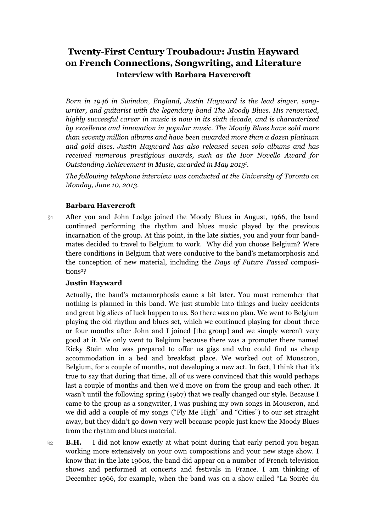## **Twenty-First Century Troubadour: Justin Hayward on French Connections, Songwriting, and Literature Interview with Barbara Havercroft**

*Born in 1946 in Swindon, England, Justin Hayward is the lead singer, songwriter, and guitarist with the legendary band The Moody Blues. His renowned, highly successful career in music is now in its sixth decade, and is characterized by excellence and innovation in popular music. The Moody Blues have sold more than seventy million albums and have been awarded more than a dozen platinum and gold discs. Justin Hayward has also released seven solo albums and has received numerous prestigious awards, such as the Ivor Novello Award for Outstanding Achievement in Music, awarded in May 20131 .*

*The following telephone interview was conducted at the University of Toronto on Monday, June 10, 2013.*

## **Barbara Havercroft**

§1 After you and John Lodge joined the Moody Blues in August, 1966, the band continued performing the rhythm and blues music played by the previous incarnation of the group. At this point, in the late sixties, you and your four bandmates decided to travel to Belgium to work. Why did you choose Belgium? Were there conditions in Belgium that were conducive to the band's metamorphosis and the conception of new material, including the *Days of Future Passed* compositions<sup>2</sup>?

## **Justin Hayward**

Actually, the band's metamorphosis came a bit later. You must remember that nothing is planned in this band. We just stumble into things and lucky accidents and great big slices of luck happen to us. So there was no plan. We went to Belgium playing the old rhythm and blues set, which we continued playing for about three or four months after John and I joined [the group] and we simply weren't very good at it. We only went to Belgium because there was a promoter there named Ricky Stein who was prepared to offer us gigs and who could find us cheap accommodation in a bed and breakfast place. We worked out of Mouscron, Belgium, for a couple of months, not developing a new act. In fact, I think that it's true to say that during that time, all of us were convinced that this would perhaps last a couple of months and then we'd move on from the group and each other. It wasn't until the following spring (1967) that we really changed our style. Because I came to the group as a songwriter, I was pushing my own songs in Mouscron, and we did add a couple of my songs ("Fly Me High" and "Cities") to our set straight away, but they didn't go down very well because people just knew the Moody Blues from the rhythm and blues material.

§2 **B.H.** I did not know exactly at what point during that early period you began working more extensively on your own compositions and your new stage show. I know that in the late 1960s, the band did appear on a number of French television shows and performed at concerts and festivals in France. I am thinking of December 1966, for example, when the band was on a show called "La Soirée du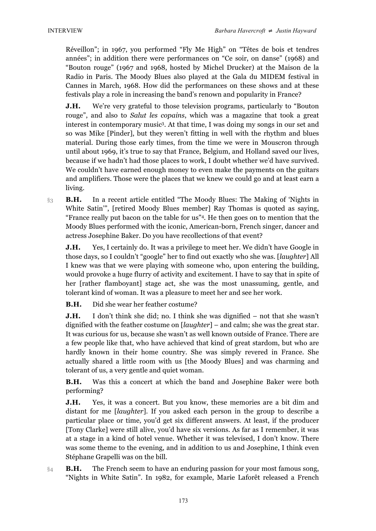Réveillon"; in 1967, you performed "Fly Me High" on "Têtes de bois et tendres années"; in addition there were performances on "Ce soir, on danse" (1968) and "Bouton rouge" (1967 and 1968, hosted by Michel Drucker) at the Maison de la Radio in Paris. The Moody Blues also played at the Gala du MIDEM festival in Cannes in March, 1968. How did the performances on these shows and at these festivals play a role in increasing the band's renown and popularity in France?

**J.H.** We're very grateful to those television programs, particularly to "Bouton" rouge", and also to *Salut les copains*, which was a magazine that took a great interest in contemporary music3. At that time, I was doing my songs in our set and so was Mike [Pinder], but they weren't fitting in well with the rhythm and blues material. During those early times, from the time we were in Mouscron through until about 1969, it's true to say that France, Belgium, and Holland saved our lives, because if we hadn't had those places to work, I doubt whether we'd have survived. We couldn't have earned enough money to even make the payments on the guitars and amplifiers. Those were the places that we knew we could go and at least earn a living.

§3 **B.H.** In a recent article entitled "The Moody Blues: The Making of 'Nights in White Satin'", [retired Moody Blues member] Ray Thomas is quoted as saying, "France really put bacon on the table for us"4. He then goes on to mention that the Moody Blues performed with the iconic, American-born, French singer, dancer and actress Josephine Baker. Do you have recollections of that event?

**J.H.** Yes, I certainly do. It was a privilege to meet her. We didn't have Google in those days, so I couldn't "google" her to find out exactly who she was. [*laughter*] All I knew was that we were playing with someone who, upon entering the building, would provoke a huge flurry of activity and excitement. I have to say that in spite of her [rather flamboyant] stage act, she was the most unassuming, gentle, and tolerant kind of woman. It was a pleasure to meet her and see her work.

**B.H.** Did she wear her feather costume?

**J.H.** I don't think she did; no. I think she was dignified – not that she wasn't dignified with the feather costume on [*laughter*] – and calm; she was the great star. It was curious for us, because she wasn't as well known outside of France. There are a few people like that, who have achieved that kind of great stardom, but who are hardly known in their home country. She was simply revered in France. She actually shared a little room with us [the Moody Blues] and was charming and tolerant of us, a very gentle and quiet woman.

**B.H.** Was this a concert at which the band and Josephine Baker were both performing?

**J.H.** Yes, it was a concert. But you know, these memories are a bit dim and distant for me [*laughter*]. If you asked each person in the group to describe a particular place or time, you'd get six different answers. At least, if the producer [Tony Clarke] were still alive, you'd have six versions. As far as I remember, it was at a stage in a kind of hotel venue. Whether it was televised, I don't know. There was some theme to the evening, and in addition to us and Josephine, I think even Stéphane Grapelli was on the bill.

**B.H.** The French seem to have an enduring passion for your most famous song, "Nights in White Satin". In 1982, for example, Marie Laforêt released a French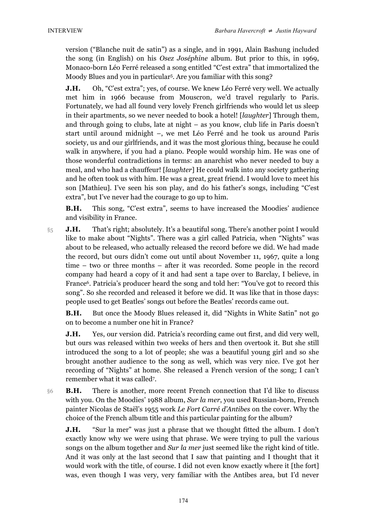version ("Blanche nuit de satin") as a single, and in 1991, Alain Bashung included the song (in English) on his *Osez Joséphine* album. But prior to this, in 1969, Monaco-born Léo Ferré released a song entitled "C'est extra" that immortalized the Moody Blues and you in particular5. Are you familiar with this song?

**J.H.** Oh, "C'est extra"; yes, of course. We knew Léo Ferré very well. We actually met him in 1966 because from Mouscron, we'd travel regularly to Paris. Fortunately, we had all found very lovely French girlfriends who would let us sleep in their apartments, so we never needed to book a hotel! [*laughter*] Through them, and through going to clubs, late at night – as you know, club life in Paris doesn't start until around midnight –, we met Léo Ferré and he took us around Paris society, us and our girlfriends, and it was the most glorious thing, because he could walk in anywhere, if you had a piano. People would worship him. He was one of those wonderful contradictions in terms: an anarchist who never needed to buy a meal, and who had a chauffeur! [*laughter*] He could walk into any society gathering and he often took us with him. He was a great, great friend. I would love to meet his son [Mathieu]. I've seen his son play, and do his father's songs, including "C'est extra", but I've never had the courage to go up to him.

**B.H.** This song, "C'est extra", seems to have increased the Moodies' audience and visibility in France.

§5 **J.H.** That's right; absolutely. It's a beautiful song. There's another point I would like to make about "Nights". There was a girl called Patricia, when "Nights" was about to be released, who actually released the record before we did. We had made the record, but ours didn't come out until about November 11, 1967, quite a long time – two or three months – after it was recorded. Some people in the record company had heard a copy of it and had sent a tape over to Barclay, I believe, in France6. Patricia's producer heard the song and told her: "You've got to record this song". So she recorded and released it before we did. It was like that in those days: people used to get Beatles' songs out before the Beatles' records came out.

**B.H.** But once the Moody Blues released it, did "Nights in White Satin" not go on to become a number one hit in France?

**J.H.** Yes, our version did. Patricia's recording came out first, and did very well, but ours was released within two weeks of hers and then overtook it. But she still introduced the song to a lot of people; she was a beautiful young girl and so she brought another audience to the song as well, which was very nice. I've got her recording of "Nights" at home. She released a French version of the song; I can't remember what it was called7.

§6 **B.H.** There is another, more recent French connection that I'd like to discuss with you. On the Moodies' 1988 album, *Sur la mer*, you used Russian-born, French painter Nicolas de Staël's 1955 work *Le Fort Carré d'Antibes* on the cover. Why the choice of the French album title and this particular painting for the album?

**J.H.** "Sur la mer" was just a phrase that we thought fitted the album. I don't exactly know why we were using that phrase. We were trying to pull the various songs on the album together and *Sur la mer* just seemed like the right kind of title. And it was only at the last second that I saw that painting and I thought that it would work with the title, of course. I did not even know exactly where it [the fort] was, even though I was very, very familiar with the Antibes area, but I'd never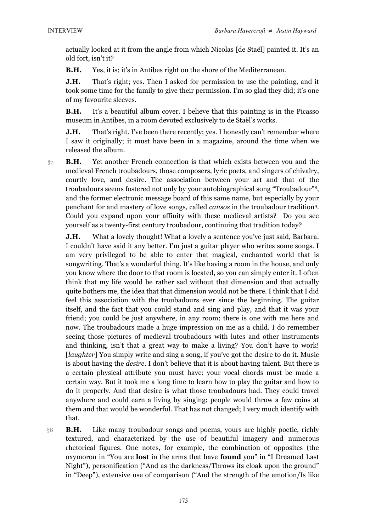actually looked at it from the angle from which Nicolas [de Staël] painted it. It's an old fort, isn't it?

**B.H.** Yes, it is; it's in Antibes right on the shore of the Mediterranean.

**J.H.** That's right; yes. Then I asked for permission to use the painting, and it took some time for the family to give their permission. I'm so glad they did; it's one of my favourite sleeves.

**B.H.** It's a beautiful album cover. I believe that this painting is in the Picasso museum in Antibes, in a room devoted exclusively to de Staël's works.

**J.H.** That's right. I've been there recently; yes. I honestly can't remember where I saw it originally; it must have been in a magazine, around the time when we released the album.

§7 **B.H.** Yet another French connection is that which exists between you and the medieval French troubadours, those composers, lyric poets, and singers of chivalry, courtly love, and desire. The association between your art and that of the troubadours seems fostered not only by your autobiographical song "Troubadour"8, and the former electronic message board of this same name, but especially by your penchant for and mastery of love songs, called *cansos* in the troubadour tradition9. Could you expand upon your affinity with these medieval artists? Do you see yourself as a twenty-first century troubadour, continuing that tradition today?

**J.H.** What a lovely thought! What a lovely a sentence you've just said, Barbara. I couldn't have said it any better. I'm just a guitar player who writes some songs. I am very privileged to be able to enter that magical, enchanted world that is songwriting. That's a wonderful thing. It's like having a room in the house, and only you know where the door to that room is located, so you can simply enter it. I often think that my life would be rather sad without that dimension and that actually quite bothers me, the idea that that dimension would not be there. I think that I did feel this association with the troubadours ever since the beginning. The guitar itself, and the fact that you could stand and sing and play, and that it was your friend; you could be just anywhere, in any room; there is one with me here and now. The troubadours made a huge impression on me as a child. I do remember seeing those pictures of medieval troubadours with lutes and other instruments and thinking, isn't that a great way to make a living? You don't have to work! [*laughter*] You simply write and sing a song, if you've got the desire to do it. Music is about having the *desire*. I don't believe that it is about having talent. But there is a certain physical attribute you must have: your vocal chords must be made a certain way. But it took me a long time to learn how to play the guitar and how to do it properly. And that desire is what those troubadours had. They could travel anywhere and could earn a living by singing; people would throw a few coins at them and that would be wonderful. That has not changed; I very much identify with that.

§8 **B.H.** Like many troubadour songs and poems, yours are highly poetic, richly textured, and characterized by the use of beautiful imagery and numerous rhetorical figures. One notes, for example, the combination of opposites (the oxymoron in "You are **lost** in the arms that have **found** you" in "I Dreamed Last Night"), personification ("And as the darkness/Throws its cloak upon the ground" in "Deep"), extensive use of comparison ("And the strength of the emotion/Is like

175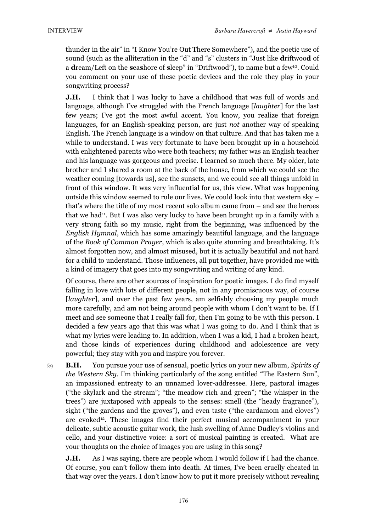thunder in the air" in "I Know You're Out There Somewhere"), and the poetic use of sound (such as the alliteration in the "d" and "s" clusters in "Just like **d**riftwoo**d** of a **d**ream/Left on the **s**ea**s**hore of **s**leep" in "Driftwood"), to name but a few10. Could you comment on your use of these poetic devices and the role they play in your songwriting process?

**J.H.** I think that I was lucky to have a childhood that was full of words and language, although I've struggled with the French language [*laughter*] for the last few years; I've got the most awful accent. You know, you realize that foreign languages, for an English-speaking person, are just *not* another way of speaking English. The French language is a window on that culture. And that has taken me a while to understand. I was very fortunate to have been brought up in a household with enlightened parents who were both teachers; my father was an English teacher and his language was gorgeous and precise. I learned so much there. My older, late brother and I shared a room at the back of the house, from which we could see the weather coming [towards us], see the sunsets, and we could see all things unfold in front of this window. It was very influential for us, this view. What was happening outside this window seemed to rule our lives. We could look into that western sky – that's where the title of my most recent solo album came from – and see the heroes that we had<sup>11</sup>. But I was also very lucky to have been brought up in a family with a very strong faith so my music, right from the beginning, was influenced by the *English Hymnal*, which has some amazingly beautiful language, and the language of the *Book of Common Prayer*, which is also quite stunning and breathtaking. It's almost forgotten now, and almost misused, but it is actually beautiful and not hard for a child to understand. Those influences, all put together, have provided me with a kind of imagery that goes into my songwriting and writing of any kind.

Of course, there are other sources of inspiration for poetic images. I do find myself falling in love with lots of different people, not in any promiscuous way, of course [*laughter*], and over the past few years, am selfishly choosing my people much more carefully, and am not being around people with whom I don't want to be. If I meet and see someone that I really fall for, then I'm going to be with this person. I decided a few years ago that this was what I was going to do. And I think that is what my lyrics were leading to. In addition, when I was a kid, I had a broken heart, and those kinds of experiences during childhood and adolescence are very powerful; they stay with you and inspire you forever.

§9 **B.H.** You pursue your use of sensual, poetic lyrics on your new album, *Spirits of the Western Sky*. I'm thinking particularly of the song entitled "The Eastern Sun", an impassioned entreaty to an unnamed lover-addressee. Here, pastoral images ("the skylark and the stream"; "the meadow rich and green"; "the whisper in the trees") are juxtaposed with appeals to the senses: smell (the "heady fragrance"), sight ("the gardens and the groves"), and even taste ("the cardamom and cloves") are evoked<sup>12</sup>. These images find their perfect musical accompaniment in your delicate, subtle acoustic guitar work, the lush swelling of Anne Dudley's violins and cello, and your distinctive voice: a sort of musical painting is created. What are your thoughts on the choice of images you are using in this song?

**J.H.** As I was saying, there are people whom I would follow if I had the chance. Of course, you can't follow them into death. At times, I've been cruelly cheated in that way over the years. I don't know how to put it more precisely without revealing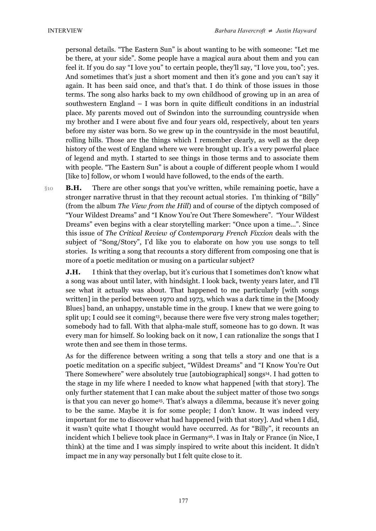personal details. "The Eastern Sun" is about wanting to be with someone: "Let me be there, at your side". Some people have a magical aura about them and you can feel it. If you do say "I love you" to certain people, they'll say, "I love you, too"; yes. And sometimes that's just a short moment and then it's gone and you can't say it again. It has been said once, and that's that. I do think of those issues in those terms. The song also harks back to my own childhood of growing up in an area of southwestern England – I was born in quite difficult conditions in an industrial place. My parents moved out of Swindon into the surrounding countryside when my brother and I were about five and four years old, respectively, about ten years before my sister was born. So we grew up in the countryside in the most beautiful, rolling hills. Those are the things which I remember clearly, as well as the deep history of the west of England where we were brought up. It's a very powerful place of legend and myth. I started to see things in those terms and to associate them with people. "The Eastern Sun" is about a couple of different people whom I would [like to] follow, or whom I would have followed, to the ends of the earth.

§10 **B.H.** There are other songs that you've written, while remaining poetic, have a stronger narrative thrust in that they recount actual stories. I'm thinking of "Billy" (from the album *The View from the Hill*) and of course of the diptych composed of "Your Wildest Dreams" and "I Know You're Out There Somewhere". "Your Wildest Dreams" even begins with a clear storytelling marker: "Once upon a time...". Since this issue of *The Critical Review of Contemporary French Fixxion* deals with the subject of "Song/Story", I'd like you to elaborate on how you use songs to tell stories. Is writing a song that recounts a story different from composing one that is more of a poetic meditation or musing on a particular subject?

**J.H.** I think that they overlap, but it's curious that I sometimes don't know what a song was about until later, with hindsight. I look back, twenty years later, and I'll see what it actually was about. That happened to me particularly [with songs written] in the period between 1970 and 1973, which was a dark time in the [Moody Blues] band, an unhappy, unstable time in the group. I knew that we were going to split up; I could see it coming<sup>13</sup>, because there were five very strong males together; somebody had to fall. With that alpha-male stuff, someone has to go down. It was every man for himself. So looking back on it now, I can rationalize the songs that I wrote then and see them in those terms.

As for the difference between writing a song that tells a story and one that is a poetic meditation on a specific subject, "Wildest Dreams" and "I Know You're Out There Somewhere" were absolutely true [autobiographical] songs<sup>14</sup>. I had gotten to the stage in my life where I needed to know what happened [with that story]. The only further statement that I can make about the subject matter of those two songs is that you can never go home<sup>15</sup>. That's always a dilemma, because it's never going to be the same. Maybe it is for some people; I don't know. It was indeed very important for me to discover what had happened [with that story]. And when I did, it wasn't quite what I thought would have occurred. As for "Billy", it recounts an incident which I believe took place in Germany<sup>16</sup>. I was in Italy or France (in Nice, I think) at the time and I was simply inspired to write about this incident. It didn't impact me in any way personally but I felt quite close to it.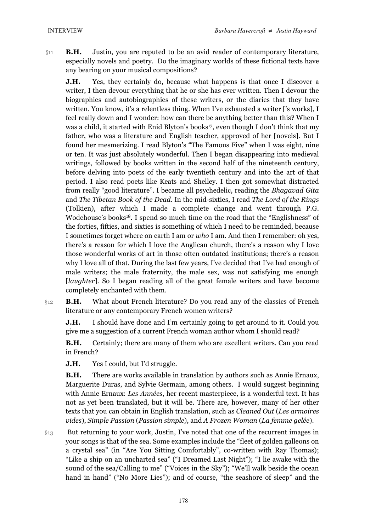§11 **B.H.** Justin, you are reputed to be an avid reader of contemporary literature, especially novels and poetry. Do the imaginary worlds of these fictional texts have any bearing on your musical compositions?

**J.H.** Yes, they certainly do, because what happens is that once I discover a writer, I then devour everything that he or she has ever written. Then I devour the biographies and autobiographies of these writers, or the diaries that they have written. You know, it's a relentless thing. When I've exhausted a writer ['s works], I feel really down and I wonder: how can there be anything better than this? When I was a child, it started with Enid Blyton's books<sup>17</sup>, even though I don't think that my father, who was a literature and English teacher, approved of her [novels]. But I found her mesmerizing. I read Blyton's "The Famous Five" when I was eight, nine or ten. It was just absolutely wonderful. Then I began disappearing into medieval writings, followed by books written in the second half of the nineteenth century, before delving into poets of the early twentieth century and into the art of that period. I also read poets like Keats and Shelley. I then got somewhat distracted from really "good literature". I became all psychedelic, reading the *Bhagavad Gita* and *The Tibetan Book of the Dead*. In the mid-sixties, I read *The Lord of the Rings* (Tolkien), after which I made a complete change and went through P.G. Wodehouse's books18. I spend so much time on the road that the "Englishness" of the forties, fifties, and sixties is something of which I need to be reminded, because I sometimes forget where on earth I am or *who* I am. And then I remember: oh yes, there's a reason for which I love the Anglican church, there's a reason why I love those wonderful works of art in those often outdated institutions; there's a reason why I love all of that. During the last few years, I've decided that I've had enough of male writers; the male fraternity, the male sex, was not satisfying me enough [*laughter*]. So I began reading all of the great female writers and have become completely enchanted with them.

§12 **B.H.** What about French literature? Do you read any of the classics of French literature or any contemporary French women writers?

**J.H.** I should have done and I'm certainly going to get around to it. Could you give me a suggestion of a current French woman author whom I should read?

**B.H.** Certainly; there are many of them who are excellent writers. Can you read in French?

**J.H.** Yes I could, but I'd struggle.

**B.H.** There are works available in translation by authors such as Annie Ernaux, Marguerite Duras, and Sylvie Germain, among others. I would suggest beginning with Annie Ernaux: *Les Années*, her recent masterpiece, is a wonderful text. It has not as yet been translated, but it will be. There are, however, many of her other texts that you can obtain in English translation, such as *Cleaned Out* (*Les armoires vides*), *Simple Passion* (*Passion simple*), and *A Frozen Woman* (*La femme gelée*).

§13 But returning to your work, Justin, I've noted that one of the recurrent images in your songs is that of the sea. Some examples include the "fleet of golden galleons on a crystal sea" (in "Are You Sitting Comfortably", co-written with Ray Thomas); "Like a ship on an uncharted sea" ("I Dreamed Last Night"); "I lie awake with the sound of the sea/Calling to me" ("Voices in the Sky"); "We'll walk beside the ocean hand in hand" ("No More Lies"); and of course, "the seashore of sleep" and the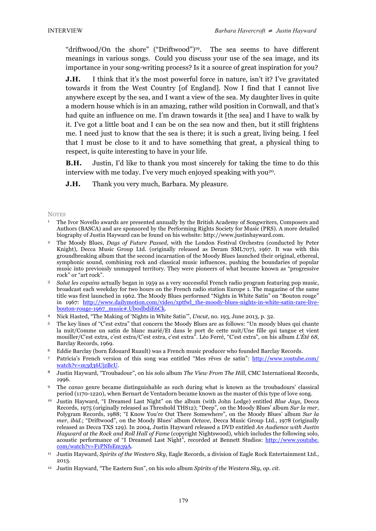"driftwood/On the shore" ("Driftwood")19. The sea seems to have different meanings in various songs. Could you discuss your use of the sea image, and its importance in your song-writing process? Is it a source of great inspiration for you?

**J.H.** I think that it's the most powerful force in nature, isn't it? I've gravitated towards it from the West Country [of England]. Now I find that I cannot live anywhere except by the sea, and I want a view of the sea. My daughter lives in quite a modern house which is in an amazing, rather wild position in Cornwall, and that's had quite an influence on me. I'm drawn towards it [the sea] and I have to walk by it. I've got a little boat and I can be on the sea now and then, but it still frightens me. I need just to know that the sea is there; it is such a great, living being. I feel that I must be close to it and to have something that great, a physical thing to respect, is quite interesting to have in your life.

**B.H.** Justin, I'd like to thank you most sincerely for taking the time to do this interview with me today. I've very much enjoyed speaking with you<sup>20</sup>.

**J.H.** Thank you very much, Barbara. My pleasure.

## **NOTES**

- <sup>1</sup> The Ivor Novello awards are presented annually by the British Academy of Songwriters, Composers and Authors (BASCA) and are sponsored by the Performing Rights Society for Music (PRS). A more detailed biography of Justin Hayward can be found on his website: http://www.justinhayward.com.
- <sup>2</sup> The Moody Blues, *Days of Future Passed*, with the London Festival Orchestra (conducted by Peter Knight), Decca Music Group Ltd. (originally released as Deram SML707), 1967. It was with this groundbreaking album that the second incarnation of the Moody Blues launched their original, ethereal, symphonic sound, combining rock and classical music influences, pushing the boundaries of popular music into previously unmapped territory. They were pioneers of what became known as "progressive rock" or "art rock".
- <sup>3</sup> *Salut les copains* actually began in 1959 as a very successful French radio program featuring pop music, broadcast each weekday for two hours on the French radio station Europe 1. The magazine of the same title was first launched in 1962. The Moody Blues performed "Nights in White Satin" on "Bouton rouge" in 1967: http://www.dailymotion.com/video/xptfwl\_the-moody-blues-nights-in-white-satin-rare-livebouton-rouge-1967\_music#.Ub0dbdiE6Ck.
- <sup>4</sup> Nick Hasted, "The Making of 'Nights in White Satin'", *Uncut*, no. 193, June 2013, p. 32.
- <sup>5</sup> The key lines of "C'est extra" that concern the Moody Blues are as follows: "Un moody blues qui chante la nuit/Comme un satin de blanc marié/Et dans le port de cette nuit/Une fille qui tangue et vient mouiller/C'est extra, c'est extra/C'est extra, c'est extra". Léo Ferré, "C'est extra", on his album *L'Été 68*, Barclay Records, 1969.
- <sup>6</sup> Eddie Barclay (born Édouard Ruault) was a French music producer who founded Barclay Records.
- <sup>7</sup> Patricia's French version of this song was entitled "Mes rêves de satin": http://www.youtube.com/ watch?v=m3d36UjzBcU.
- <sup>8</sup> Justin Hayward, "Troubadour", on his solo album *The View From The Hill*, CMC International Records, 1996.
- <sup>9</sup> The *canso* genre became distinguishable as such during what is known as the troubadours' classical period (1170-1220), when Bernart de Ventadorn became known as the master of this type of love song.
- <sup>10</sup> Justin Hayward, "I Dreamed Last Night" on the album (with John Lodge) entitled *Blue Jays*, Decca Records, 1975 (originally released as Threshold THS12); "Deep", on the Moody Blues' album *Sur la mer*, Polygram Records, 1988; "I Know You're Out There Somewhere", on the Moody Blues' album *Sur la mer*, *ibid*.; "Driftwood", on the Moody Blues' album *Octave*, Decca Music Group Ltd., 1978 (originally released as Decca TXS 129). In 2004, Justin Hayward released a DVD entitled *An Audience with Justin Hayward at the Rock and Roll Hall of Fame* (copyright Nightswood), which includes the following solo, acoustic performance of "I Dreamed Last Night", recorded at Bennett Studios: http://www.youtube. com/watch?v=F1PNfsEm39A.
- <sup>11</sup> Justin Hayward, *Spirits of the Western Sky*, Eagle Records, a division of Eagle Rock Entertainment Ltd., 2013.
- <sup>12</sup> Justin Hayward, "The Eastern Sun", on his solo album *Spirits of the Western Sky*, *op. cit*.